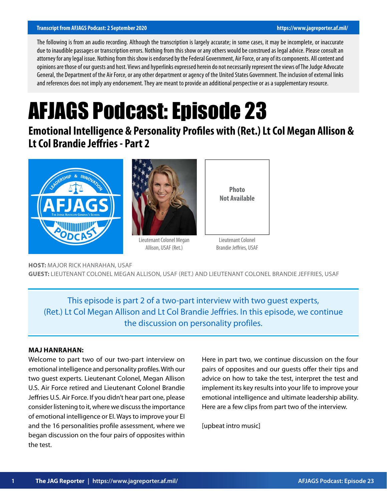#### **Transcript from AFJAGS Podcast: 2 September 2020 https://www.jagreporter.af.mil/**

The following is from an audio recording. Although the transcription is largely accurate; in some cases, it may be incomplete, or inaccurate due to inaudible passages or transcription errors. Nothing from this show or any others would be construed as legal advice. Please consult an attorney for any legal issue. Nothing from this show is endorsed by the Federal Government, Air Force, or any of its components. All content and opinions are those of our guests and host. Views and hyperlinks expressed herein do not necessarily represent the views of The Judge Advocate General, the Department of the Air Force, or any other department or agency of the United States Government. The inclusion of external links and references does not imply any endorsement. They are meant to provide an additional perspective or as a supplementary resource.

# AFJAGS Podcast: Episode 23

**Emotional Intelligence & Personality Profiles with (Ret.) Lt Col Megan Allison & Lt Col Brandie Jeffries - Part 2**





Lieutenant Colonel Megan Allison, USAF (Ret.)



Lieutenant Colonel Brandie Jeffries, USAF

**HOST:** MAJOR RICK HANRAHAN, USAF

**GUEST:** LIEUTENANT COLONEL MEGAN ALLISON, USAF (RET.) AND LIEUTENANT COLONEL BRANDIE JEFFRIES, USAF

This episode is part 2 of a two-part interview with two guest experts, (Ret.) Lt Col Megan Allison and Lt Col Brandie Jeffries. In this episode, we continue the discussion on personality profiles.

#### **MAJ HANRAHAN:**

Welcome to part two of our two-part interview on emotional intelligence and personality profiles. With our two guest experts. Lieutenant Colonel, Megan Allison U.S. Air Force retired and Lieutenant Colonel Brandie Jeffries U.S. Air Force. If you didn't hear part one, please consider listening to it, where we discuss the importance of emotional intelligence or EI. Ways to improve your EI and the 16 personalities profile assessment, where we began discussion on the four pairs of opposites within the test.

Here in part two, we continue discussion on the four pairs of opposites and our guests offer their tips and advice on how to take the test, interpret the test and implement its key results into your life to improve your emotional intelligence and ultimate leadership ability. Here are a few clips from part two of the interview.

[upbeat intro music]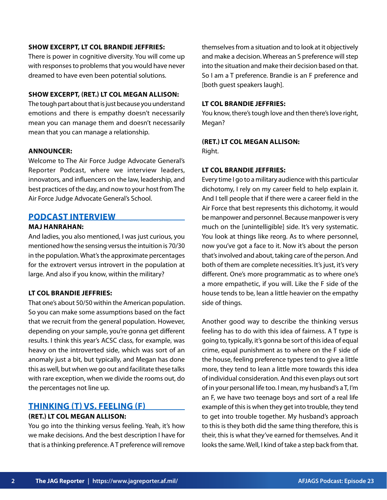#### **SHOW EXCERPT, LT COL BRANDIE JEFFRIES:**

There is power in cognitive diversity. You will come up with responses to problems that you would have never dreamed to have even been potential solutions.

## **SHOW EXCERPT, (RET.) LT COL MEGAN ALLISON:**

The tough part about that is just because you understand emotions and there is empathy doesn't necessarily mean you can manage them and doesn't necessarily mean that you can manage a relationship.

#### **ANNOUNCER:**

Welcome to The Air Force Judge Advocate General's Reporter Podcast, where we interview leaders, innovators, and influencers on the law, leadership, and best practices of the day, and now to your host from The Air Force Judge Advocate General's School.

## **PODCAST INTERVIEW**

## **MAJ HANRAHAN:**

And ladies, you also mentioned, I was just curious, you mentioned how the sensing versus the intuition is 70/30 in the population. What's the approximate percentages for the extrovert versus introvert in the population at large. And also if you know, within the military?

## **LT COL BRANDIE JEFFRIES:**

That one's about 50/50 within the American population. So you can make some assumptions based on the fact that we recruit from the general population. However, depending on your sample, you're gonna get different results. I think this year's ACSC class, for example, was heavy on the introverted side, which was sort of an anomaly just a bit, but typically, and Megan has done this as well, but when we go out and facilitate these talks with rare exception, when we divide the rooms out, do the percentages not line up.

# **THINKING (T) VS. FEELING (F)**

# **(RET.) LT COL MEGAN ALLISON:**

You go into the thinking versus feeling. Yeah, it's how we make decisions. And the best description I have for that is a thinking preference. A T preference will remove themselves from a situation and to look at it objectively and make a decision. Whereas an S preference will step into the situation and make their decision based on that. So I am a T preference. Brandie is an F preference and [both guest speakers laugh].

## **LT COL BRANDIE JEFFRIES:**

You know, there's tough love and then there's love right, Megan?

#### **(RET.) LT COL MEGAN ALLISON:**

Right.

#### **LT COL BRANDIE JEFFRIES:**

Every time I go to a military audience with this particular dichotomy, I rely on my career field to help explain it. And I tell people that if there were a career field in the Air Force that best represents this dichotomy, it would be manpower and personnel. Because manpower is very much on the [unintelligible] side. It's very systematic. You look at things like reorg. As to where personnel, now you've got a face to it. Now it's about the person that's involved and about, taking care of the person. And both of them are complete necessities. It's just, it's very different. One's more programmatic as to where one's a more empathetic, if you will. Like the F side of the house tends to be, lean a little heavier on the empathy side of things.

Another good way to describe the thinking versus feeling has to do with this idea of fairness. A T type is going to, typically, it's gonna be sort of this idea of equal crime, equal punishment as to where on the F side of the house, feeling preference types tend to give a little more, they tend to lean a little more towards this idea of individual consideration. And this even plays out sort of in your personal life too. I mean, my husband's a T, I'm an F, we have two teenage boys and sort of a real life example of this is when they get into trouble, they tend to get into trouble together. My husband's approach to this is they both did the same thing therefore, this is their, this is what they've earned for themselves. And it looks the same. Well, I kind of take a step back from that.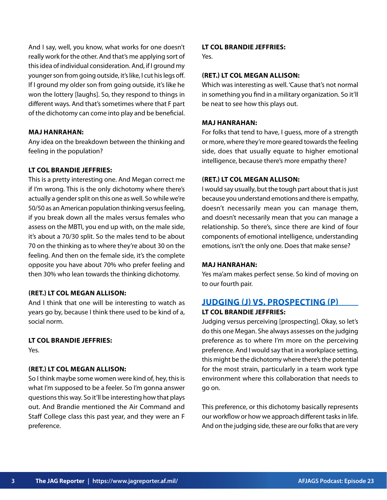And I say, well, you know, what works for one doesn't really work for the other. And that's me applying sort of this idea of individual consideration. And, if I ground my younger son from going outside, it's like, I cut his legs off. If I ground my older son from going outside, it's like he won the lottery [laughs]. So, they respond to things in different ways. And that's sometimes where that F part of the dichotomy can come into play and be beneficial.

#### **MAJ HANRAHAN:**

Any idea on the breakdown between the thinking and feeling in the population?

## **LT COL BRANDIE JEFFRIES:**

This is a pretty interesting one. And Megan correct me if I'm wrong. This is the only dichotomy where there's actually a gender split on this one as well. So while we're 50/50 as an American population thinking versus feeling, if you break down all the males versus females who assess on the MBTI, you end up with, on the male side, it's about a 70/30 split. So the males tend to be about 70 on the thinking as to where they're about 30 on the feeling. And then on the female side, it's the complete opposite you have about 70% who prefer feeling and then 30% who lean towards the thinking dichotomy.

#### **(RET.) LT COL MEGAN ALLISON:**

And I think that one will be interesting to watch as years go by, because I think there used to be kind of a, social norm.

## **LT COL BRANDIE JEFFRIES:**

Yes.

## **(RET.) LT COL MEGAN ALLISON:**

So I think maybe some women were kind of, hey, this is what I'm supposed to be a feeler. So I'm gonna answer questions this way. So it'll be interesting how that plays out. And Brandie mentioned the Air Command and Staff College class this past year, and they were an F preference.

#### **LT COL BRANDIE JEFFRIES:**

Yes.

#### **(RET.) LT COL MEGAN ALLISON:**

Which was interesting as well. 'Cause that's not normal in something you find in a military organization. So it'll be neat to see how this plays out.

## **MAJ HANRAHAN:**

For folks that tend to have, I guess, more of a strength or more, where they're more geared towards the feeling side, does that usually equate to higher emotional intelligence, because there's more empathy there?

#### **(RET.) LT COL MEGAN ALLISON:**

I would say usually, but the tough part about that is just because you understand emotions and there is empathy, doesn't necessarily mean you can manage them, and doesn't necessarily mean that you can manage a relationship. So there's, since there are kind of four components of emotional intelligence, understanding emotions, isn't the only one. Does that make sense?

#### **MAJ HANRAHAN:**

Yes ma'am makes perfect sense. So kind of moving on to our fourth pair.

# **JUDGING (J) VS. PROSPECTING (P) LT COL BRANDIE JEFFRIES:**

Judging versus perceiving [prospecting]. Okay, so let's do this one Megan. She always assesses on the judging preference as to where I'm more on the perceiving preference. And I would say that in a workplace setting, this might be the dichotomy where there's the potential for the most strain, particularly in a team work type environment where this collaboration that needs to go on.

This preference, or this dichotomy basically represents our workflow or how we approach different tasks in life. And on the judging side, these are our folks that are very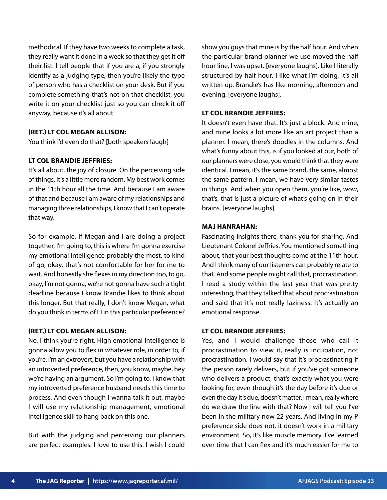methodical. If they have two weeks to complete a task, they really want it done in a week so that they get it off their list. I tell people that if you are a, if you strongly identify as a judging type, then you're likely the type of person who has a checklist on your desk. But if you complete something that's not on that checklist, you write it on your checklist just so you can check it off anyway, because it's all about

# **(RET.) LT COL MEGAN ALLISON:**

You think I'd even do that? [both speakers laugh]

## **LT COL BRANDIE JEFFRIES:**

It's all about, the joy of closure. On the perceiving side of things, it's a little more random. My best work comes in the 11th hour all the time. And because I am aware of that and because I am aware of my relationships and managing those relationships, I know that I can't operate that way.

So for example, if Megan and I are doing a project together, I'm going to, this is where I'm gonna exercise my emotional intelligence probably the most, to kind of go, okay, that's not comfortable for her for me to wait. And honestly she flexes in my direction too, to go, okay, I'm not gonna, we're not gonna have such a tight deadline because I know Brandie likes to think about this longer. But that really, I don't know Megan, what do you think in terms of EI in this particular preference?

## **(RET.) LT COL MEGAN ALLISON:**

No, I think you're right. High emotional intelligence is gonna allow you to flex in whatever role, in order to, if you're, I'm an extrovert, but you have a relationship with an introverted preference, then, you know, maybe, hey we're having an argument. So I'm going to, I know that my introverted preference husband needs this time to process. And even though I wanna talk it out, maybe I will use my relationship management, emotional intelligence skill to hang back on this one.

But with the judging and perceiving our planners are perfect examples. I love to use this. I wish I could show you guys that mine is by the half hour. And when the particular brand planner we use moved the half hour line, I was upset. [everyone laughs]. Like I literally structured by half hour, I like what I'm doing, it's all written up. Brandie's has like morning, afternoon and evening. [everyone laughs].

#### **LT COL BRANDIE JEFFRIES:**

It doesn't even have that. It's just a block. And mine, and mine looks a lot more like an art project than a planner. I mean, there's doodles in the columns. And what's funny about this, is if you looked at our, both of our planners were close, you would think that they were identical. I mean, it's the same brand, the same, almost the same pattern. I mean, we have very similar tastes in things. And when you open them, you're like, wow, that's, that is just a picture of what's going on in their brains. [everyone laughs].

#### **MAJ HANRAHAN:**

Fascinating insights there, thank you for sharing. And Lieutenant Colonel Jeffries. You mentioned something about, that your best thoughts come at the 11th hour. And I think many of our listeners can probably relate to that. And some people might call that, procrastination. I read a study within the last year that was pretty interesting, that they talked that about procrastination and said that it's not really laziness. It's actually an emotional response.

## **LT COL BRANDIE JEFFRIES:**

Yes, and I would challenge those who call it procrastination to view it, really is incubation, not procrastination. I would say that it's procrastinating if the person rarely delivers, but if you've got someone who delivers a product, that's exactly what you were looking for, even though it's the day before it's due or even the day it's due, doesn't matter. I mean, really where do we draw the line with that? Now I will tell you I've been in the military now 22 years. And living in my P preference side does not, it doesn't work in a military environment. So, it's like muscle memory. I've learned over time that I can flex and it's much easier for me to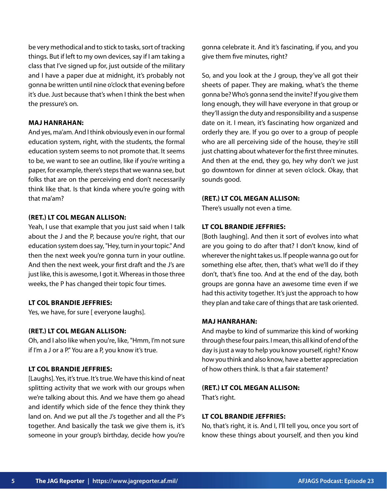be very methodical and to stick to tasks, sort of tracking things. But if left to my own devices, say if I am taking a class that I've signed up for, just outside of the military and I have a paper due at midnight, it's probably not gonna be written until nine o'clock that evening before it's due. Just because that's when I think the best when the pressure's on.

## **MAJ HANRAHAN:**

And yes, ma'am. And I think obviously even in our formal education system, right, with the students, the formal education system seems to not promote that. It seems to be, we want to see an outline, like if you're writing a paper, for example, there's steps that we wanna see, but folks that are on the perceiving end don't necessarily think like that. Is that kinda where you're going with that ma'am?

#### **(RET.) LT COL MEGAN ALLISON:**

Yeah, I use that example that you just said when I talk about the J and the P, because you're right, that our education system does say, "Hey, turn in your topic." And then the next week you're gonna turn in your outline. And then the next week, your first draft and the J's are just like, this is awesome, I got it. Whereas in those three weeks, the P has changed their topic four times.

#### **LT COL BRANDIE JEFFRIES:**

Yes, we have, for sure [ everyone laughs].

## **(RET.) LT COL MEGAN ALLISON:**

Oh, and I also like when you're, like, "Hmm, I'm not sure if I'm a J or a P." You are a P, you know it's true.

## **LT COL BRANDIE JEFFRIES:**

[Laughs]. Yes, it's true. It's true. We have this kind of neat splitting activity that we work with our groups when we're talking about this. And we have them go ahead and identify which side of the fence they think they land on. And we put all the J's together and all the P's together. And basically the task we give them is, it's someone in your group's birthday, decide how you're

gonna celebrate it. And it's fascinating, if you, and you give them five minutes, right?

So, and you look at the J group, they've all got their sheets of paper. They are making, what's the theme gonna be? Who's gonna send the invite? If you give them long enough, they will have everyone in that group or they'll assign the duty and responsibility and a suspense date on it. I mean, it's fascinating how organized and orderly they are. If you go over to a group of people who are all perceiving side of the house, they're still just chatting about whatever for the first three minutes. And then at the end, they go, hey why don't we just go downtown for dinner at seven o'clock. Okay, that sounds good.

#### **(RET.) LT COL MEGAN ALLISON:**

There's usually not even a time.

#### **LT COL BRANDIE JEFFRIES:**

[Both laughing]. And then it sort of evolves into what are you going to do after that? I don't know, kind of wherever the night takes us. If people wanna go out for something else after, then, that's what we'll do if they don't, that's fine too. And at the end of the day, both groups are gonna have an awesome time even if we had this activity together. It's just the approach to how they plan and take care of things that are task oriented.

#### **MAJ HANRAHAN:**

And maybe to kind of summarize this kind of working through these four pairs. I mean, this all kind of end of the day is just a way to help you know yourself, right? Know how you think and also know, have a better appreciation of how others think. Is that a fair statement?

## **(RET.) LT COL MEGAN ALLISON:**

That's right.

## **LT COL BRANDIE JEFFRIES:**

No, that's right, it is. And I, I'll tell you, once you sort of know these things about yourself, and then you kind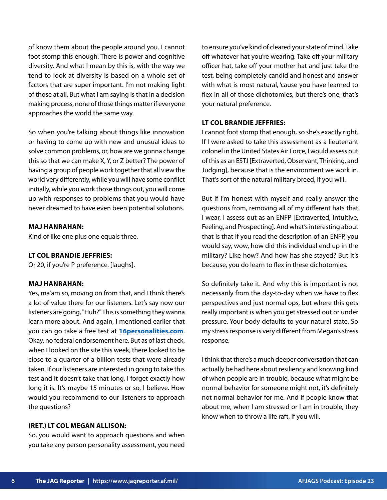of know them about the people around you. I cannot foot stomp this enough. There is power and cognitive diversity. And what I mean by this is, with the way we tend to look at diversity is based on a whole set of factors that are super important. I'm not making light of those at all. But what I am saying is that in a decision making process, none of those things matter if everyone approaches the world the same way.

So when you're talking about things like innovation or having to come up with new and unusual ideas to solve common problems, or, how are we gonna change this so that we can make X, Y, or Z better? The power of having a group of people work together that all view the world very differently, while you will have some conflict initially, while you work those things out, you will come up with responses to problems that you would have never dreamed to have even been potential solutions.

#### **MAJ HANRAHAN:**

Kind of like one plus one equals three.

#### **LT COL BRANDIE JEFFRIES:**

Or 20, if you're P preference. [laughs].

#### **MAJ HANRAHAN:**

Yes, ma'am so, moving on from that, and I think there's a lot of value there for our listeners. Let's say now our listeners are going, "Huh?" This is something they wanna learn more about. And again, I mentioned earlier that you can go take a free test at **[16personalities.com](https://www.16personalities.com/)**. Okay, no federal endorsement here. But as of last check, when I looked on the site this week, there looked to be close to a quarter of a billion tests that were already taken. If our listeners are interested in going to take this test and it doesn't take that long, I forget exactly how long it is. It's maybe 15 minutes or so, I believe. How would you recommend to our listeners to approach the questions?

#### **(RET.) LT COL MEGAN ALLISON:**

So, you would want to approach questions and when you take any person personality assessment, you need to ensure you've kind of cleared your state of mind. Take off whatever hat you're wearing. Take off your military officer hat, take off your mother hat and just take the test, being completely candid and honest and answer with what is most natural, 'cause you have learned to flex in all of those dichotomies, but there's one, that's your natural preference.

### **LT COL BRANDIE JEFFRIES:**

I cannot foot stomp that enough, so she's exactly right. If I were asked to take this assessment as a lieutenant colonel in the United States Air Force, I would assess out of this as an ESTJ [Extraverted, Observant, Thinking, and Judging], because that is the environment we work in. That's sort of the natural military breed, if you will.

But if I'm honest with myself and really answer the questions from, removing all of my different hats that I wear, I assess out as an ENFP [Extraverted, Intuitive, Feeling, and Prospecting]. And what's interesting about that is that if you read the description of an ENFP, you would say, wow, how did this individual end up in the military? Like how? And how has she stayed? But it's because, you do learn to flex in these dichotomies.

So definitely take it. And why this is important is not necessarily from the day-to-day when we have to flex perspectives and just normal ops, but where this gets really important is when you get stressed out or under pressure. Your body defaults to your natural state. So my stress response is very different from Megan's stress response.

I think that there's a much deeper conversation that can actually be had here about resiliency and knowing kind of when people are in trouble, because what might be normal behavior for someone might not, it's definitely not normal behavior for me. And if people know that about me, when I am stressed or I am in trouble, they know when to throw a life raft, if you will.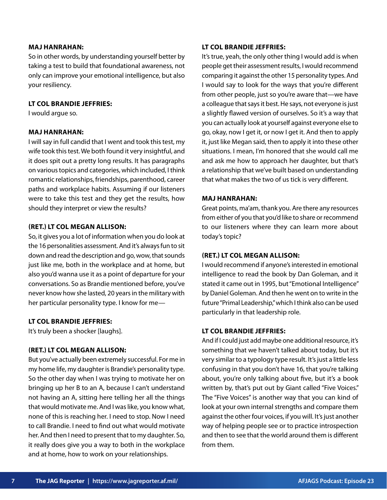#### **MAJ HANRAHAN:**

So in other words, by understanding yourself better by taking a test to build that foundational awareness, not only can improve your emotional intelligence, but also your resiliency.

## **LT COL BRANDIE JEFFRIES:**

I would argue so.

## **MAJ HANRAHAN:**

I will say in full candid that I went and took this test, my wife took this test. We both found it very insightful, and it does spit out a pretty long results. It has paragraphs on various topics and categories, which included, I think romantic relationships, friendships, parenthood, career paths and workplace habits. Assuming if our listeners were to take this test and they get the results, how should they interpret or view the results?

#### **(RET.) LT COL MEGAN ALLISON:**

So, it gives you a lot of information when you do look at the 16 personalities assessment. And it's always fun to sit down and read the description and go, wow, that sounds just like me, both in the workplace and at home, but also you'd wanna use it as a point of departure for your conversations. So as Brandie mentioned before, you've never know how she lasted, 20 years in the military with her particular personality type. I know for me—

#### **LT COL BRANDIE JEFFRIES:**

It's truly been a shocker [laughs].

#### **(RET.) LT COL MEGAN ALLISON:**

But you've actually been extremely successful. For me in my home life, my daughter is Brandie's personality type. So the other day when I was trying to motivate her on bringing up her B to an A, because I can't understand not having an A, sitting here telling her all the things that would motivate me. And I was like, you know what, none of this is reaching her. I need to stop. Now I need to call Brandie. I need to find out what would motivate her. And then I need to present that to my daughter. So, it really does give you a way to both in the workplace and at home, how to work on your relationships.

#### **LT COL BRANDIE JEFFRIES:**

It's true, yeah, the only other thing I would add is when people get their assessment results, I would recommend comparing it against the other 15 personality types. And I would say to look for the ways that you're different from other people, just so you're aware that—we have a colleague that says it best. He says, not everyone is just a slightly flawed version of ourselves. So it's a way that you can actually look at yourself against everyone else to go, okay, now I get it, or now I get it. And then to apply it, just like Megan said, then to apply it into these other situations. I mean, I'm honored that she would call me and ask me how to approach her daughter, but that's a relationship that we've built based on understanding that what makes the two of us tick is very different.

#### **MAJ HANRAHAN:**

Great points, ma'am, thank you. Are there any resources from either of you that you'd like to share or recommend to our listeners where they can learn more about today's topic?

## **(RET.) LT COL MEGAN ALLISON:**

I would recommend if anyone's interested in emotional intelligence to read the book by Dan Goleman, and it stated it came out in 1995, but "Emotional Intelligence" by Daniel Goleman. And then he went on to write in the future "Primal Leadership," which I think also can be used particularly in that leadership role.

## **LT COL BRANDIE JEFFRIES:**

And if I could just add maybe one additional resource, it's something that we haven't talked about today, but it's very similar to a typology type result. It's just a little less confusing in that you don't have 16, that you're talking about, you're only talking about five, but it's a book written by, that's put out by Giant called "Five Voices." The "Five Voices" is another way that you can kind of look at your own internal strengths and compare them against the other four voices, if you will. It's just another way of helping people see or to practice introspection and then to see that the world around them is different from them.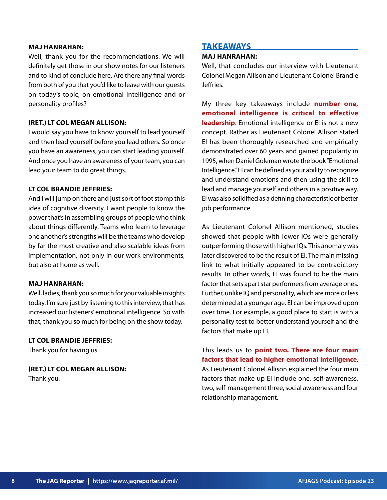#### **MAJ HANRAHAN:**

Well, thank you for the recommendations. We will definitely get those in our show notes for our listeners and to kind of conclude here. Are there any final words from both of you that you'd like to leave with our guests on today's topic, on emotional intelligence and or personality profiles?

## **(RET.) LT COL MEGAN ALLISON:**

I would say you have to know yourself to lead yourself and then lead yourself before you lead others. So once you have an awareness, you can start leading yourself. And once you have an awareness of your team, you can lead your team to do great things.

## **LT COL BRANDIE JEFFRIES:**

And I will jump on there and just sort of foot stomp this idea of cognitive diversity. I want people to know the power that's in assembling groups of people who think about things differently. Teams who learn to leverage one another's strengths will be the teams who develop by far the most creative and also scalable ideas from implementation, not only in our work environments, but also at home as well.

#### **MAJ HANRAHAN:**

Well, ladies, thank you so much for your valuable insights today. I'm sure just by listening to this interview, that has increased our listeners' emotional intelligence. So with that, thank you so much for being on the show today.

## **LT COL BRANDIE JEFFRIES:**

Thank you for having us.

**(RET.) LT COL MEGAN ALLISON:** Thank you.

# **TAKEAWAYS**

# **MAJ HANRAHAN:**

Well, that concludes our interview with Lieutenant Colonel Megan Allison and Lieutenant Colonel Brandie Jeffries.

My three key takeaways include **number one, emotional intelligence is critical to effective leadership**. Emotional intelligence or EI is not a new concept. Rather as Lieutenant Colonel Allison stated EI has been thoroughly researched and empirically demonstrated over 60 years and gained popularity in 1995, when Daniel Goleman wrote the book "Emotional Intelligence." EI can be defined as your ability to recognize and understand emotions and then using the skill to lead and manage yourself and others in a positive way. EI was also solidified as a defining characteristic of better job performance.

As Lieutenant Colonel Allison mentioned, studies showed that people with lower IQs were generally outperforming those with higher IQs. This anomaly was later discovered to be the result of EI. The main missing link to what initially appeared to be contradictory results. In other words, EI was found to be the main factor that sets apart star performers from average ones. Further, unlike IQ and personality, which are more or less determined at a younger age, EI can be improved upon over time. For example, a good place to start is with a personality test to better understand yourself and the factors that make up EI.

This leads us to **point two. There are four main factors that lead to higher emotional intelligence**. As Lieutenant Colonel Allison explained the four main factors that make up EI include one, self-awareness, two, self-management three, social awareness and four relationship management.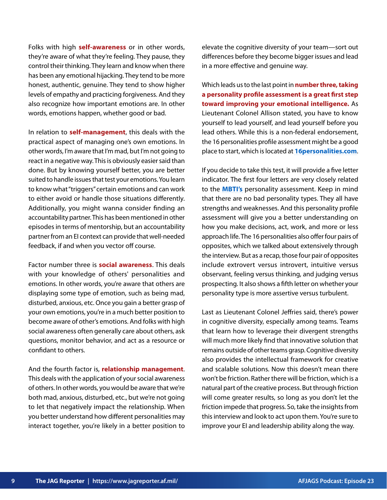Folks with high **self-awareness** or in other words, they're aware of what they're feeling. They pause, they control their thinking. They learn and know when there has been any emotional hijacking. They tend to be more honest, authentic, genuine. They tend to show higher levels of empathy and practicing forgiveness. And they also recognize how important emotions are. In other words, emotions happen, whether good or bad.

In relation to **self-management**, this deals with the practical aspect of managing one's own emotions. In other words, I'm aware that I'm mad, but I'm not going to react in a negative way. This is obviously easier said than done. But by knowing yourself better, you are better suited to handle issues that test your emotions. You learn to know what "triggers" certain emotions and can work to either avoid or handle those situations differently. Additionally, you might wanna consider finding an accountability partner. This has been mentioned in other episodes in terms of mentorship, but an accountability partner from an EI context can provide that well-needed feedback, if and when you vector off course.

Factor number three is **social awareness**. This deals with your knowledge of others' personalities and emotions. In other words, you're aware that others are displaying some type of emotion, such as being mad, disturbed, anxious, etc. Once you gain a better grasp of your own emotions, you're in a much better position to become aware of other's emotions. And folks with high social awareness often generally care about others, ask questions, monitor behavior, and act as a resource or confidant to others.

And the fourth factor is, **relationship management**. This deals with the application of your social awareness of others. In other words, you would be aware that we're both mad, anxious, disturbed, etc., but we're not going to let that negatively impact the relationship. When you better understand how different personalities may interact together, you're likely in a better position to elevate the cognitive diversity of your team—sort out differences before they become bigger issues and lead in a more effective and genuine way.

Which leads us to the last point in **number three, taking a personality profile assessment is a great first step toward improving your emotional intelligence.** As Lieutenant Colonel Allison stated, you have to know yourself to lead yourself, and lead yourself before you lead others. While this is a non-federal endorsement, the 16 personalities profile assessment might be a good place to start, which is located at **[16personalities.com](https://www.16personalities.com/)**.

If you decide to take this test, it will provide a five letter indicator. The first four letters are very closely related to the **[MBTI's](https://www.myersbriggs.org/my-mbti-personality-type/mbti-basics/the-16-mbti-types.htm)** personality assessment. Keep in mind that there are no bad personality types. They all have strengths and weaknesses. And this personality profile assessment will give you a better understanding on how you make decisions, act, work, and more or less approach life. The 16 personalities also offer four pairs of opposites, which we talked about extensively through the interview. But as a recap, those four pair of opposites include extrovert versus introvert, intuitive versus observant, feeling versus thinking, and judging versus prospecting. It also shows a fifth letter on whether your personality type is more assertive versus turbulent.

Last as Lieutenant Colonel Jeffries said, there's power in cognitive diversity, especially among teams. Teams that learn how to leverage their divergent strengths will much more likely find that innovative solution that remains outside of other teams grasp. Cognitive diversity also provides the intellectual framework for creative and scalable solutions. Now this doesn't mean there won't be friction. Rather there will be friction, which is a natural part of the creative process. But through friction will come greater results, so long as you don't let the friction impede that progress. So, take the insights from this interview and look to act upon them. You're sure to improve your EI and leadership ability along the way.